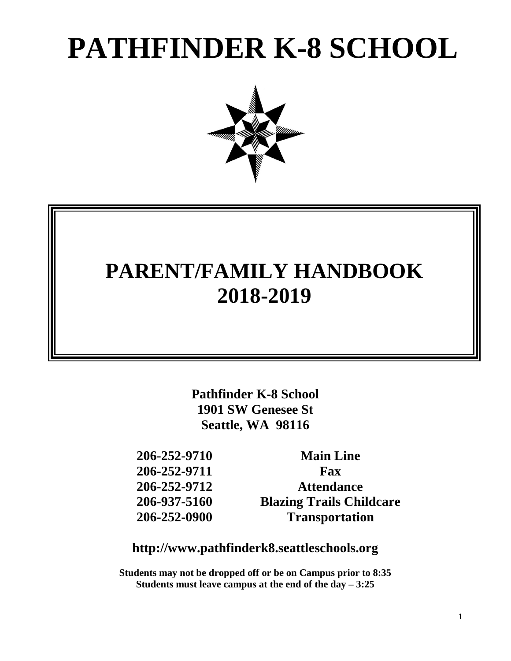# **PATHFINDER K-8 SCHOOL**



# **PARENT/FAMILY HANDBOOK 2018-2019**

**Pathfinder K-8 School 1901 SW Genesee St Seattle, WA 98116**

**206-252-9710 Main Line 206-252-9711 Fax 206-252-9712 Attendance 206-937-5160 Blazing Trails Childcare 206-252-0900 Transportation**

### **http://www.pathfinderk8.seattleschools.org**

**Students may not be dropped off or be on Campus prior to 8:35 Students must leave campus at the end of the day – 3:25**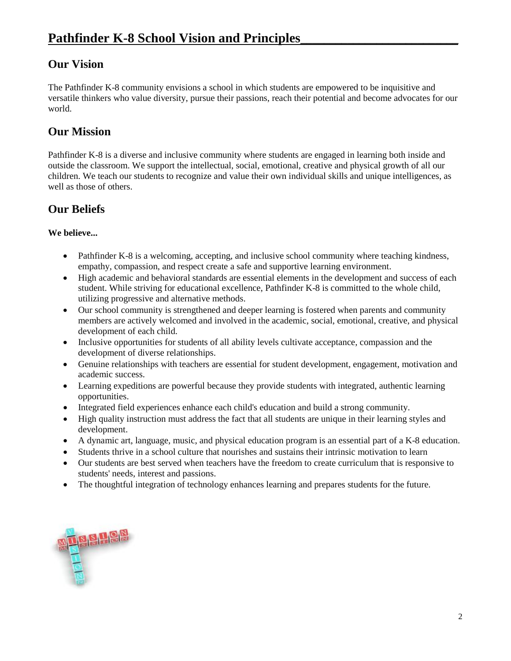### **Our Vision**

The Pathfinder K-8 community envisions a school in which students are empowered to be inquisitive and versatile thinkers who value diversity, pursue their passions, reach their potential and become advocates for our world.

### **Our Mission**

Pathfinder K-8 is a diverse and inclusive community where students are engaged in learning both inside and outside the classroom. We support the intellectual, social, emotional, creative and physical growth of all our children. We teach our students to recognize and value their own individual skills and unique intelligences, as well as those of others.

### **Our Beliefs**

#### **We believe...**

- Pathfinder K-8 is a welcoming, accepting, and inclusive school community where teaching kindness, empathy, compassion, and respect create a safe and supportive learning environment.
- High academic and behavioral standards are essential elements in the development and success of each student. While striving for educational excellence, Pathfinder K-8 is committed to the whole child, utilizing progressive and alternative methods.
- Our school community is strengthened and deeper learning is fostered when parents and community members are actively welcomed and involved in the academic, social, emotional, creative, and physical development of each child.
- Inclusive opportunities for students of all ability levels cultivate acceptance, compassion and the development of diverse relationships.
- Genuine relationships with teachers are essential for student development, engagement, motivation and academic success.
- Learning expeditions are powerful because they provide students with integrated, authentic learning opportunities.
- Integrated field experiences enhance each child's education and build a strong community.
- High quality instruction must address the fact that all students are unique in their learning styles and development.
- A dynamic art, language, music, and physical education program is an essential part of a K-8 education.
- Students thrive in a school culture that nourishes and sustains their intrinsic motivation to learn
- Our students are best served when teachers have the freedom to create curriculum that is responsive to students' needs, interest and passions.
- The thoughtful integration of technology enhances learning and prepares students for the future.

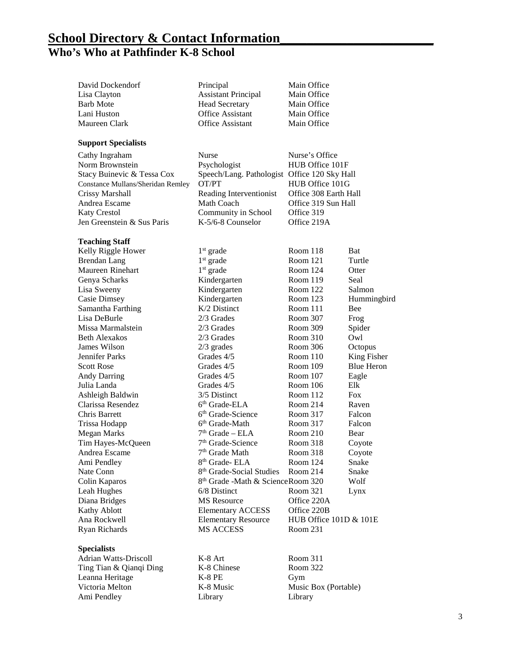### **School Directory & Contact Information\_\_\_\_\_\_\_\_\_\_\_\_\_\_\_\_\_\_\_\_\_\_\_ Who's Who at Pathfinder K-8 School**

| David Dockendorf                         | Principal                                     | Main Office            |                   |
|------------------------------------------|-----------------------------------------------|------------------------|-------------------|
| Lisa Clayton                             | <b>Assistant Principal</b>                    | Main Office            |                   |
| <b>Barb Mote</b>                         | <b>Head Secretary</b>                         | Main Office            |                   |
| Lani Huston                              | <b>Office Assistant</b>                       | Main Office            |                   |
| Maureen Clark                            | <b>Office Assistant</b>                       | Main Office            |                   |
|                                          |                                               |                        |                   |
| <b>Support Specialists</b>               |                                               |                        |                   |
| Cathy Ingraham                           | <b>Nurse</b>                                  | Nurse's Office         |                   |
| Norm Brownstein                          | Psychologist                                  | HUB Office 101F        |                   |
| Stacy Buinevic & Tessa Cox               | Speech/Lang. Pathologist Office 120 Sky Hall  |                        |                   |
| <b>Constance Mullans/Sheridan Remley</b> | OT/PT                                         | HUB Office 101G        |                   |
| <b>Crissy Marshall</b>                   | Reading Interventionist                       | Office 308 Earth Hall  |                   |
| Andrea Escame                            | Math Coach                                    | Office 319 Sun Hall    |                   |
| <b>Katy Crestol</b>                      | Community in School                           | Office 319             |                   |
| Jen Greenstein & Sus Paris               | K-5/6-8 Counselor                             | Office 219A            |                   |
|                                          |                                               |                        |                   |
| <b>Teaching Staff</b>                    |                                               |                        |                   |
| Kelly Riggle Hower                       | $1st$ grade                                   | Room 118               | Bat               |
| <b>Brendan Lang</b>                      | $1st$ grade                                   | Room 121               | Turtle            |
| Maureen Rinehart                         | $1st$ grade                                   | Room 124               | Otter             |
| Genya Scharks                            | Kindergarten                                  | Room 119               | Seal              |
| Lisa Sweeny                              | Kindergarten                                  | Room $122$             | Salmon            |
| Casie Dimsey                             | Kindergarten                                  | Room $123$             | Hummingbird       |
| Samantha Farthing                        | $K/2$ Distinct                                | Room 111               | Bee               |
| Lisa DeBurle                             | $2/3$ Grades                                  | Room 307               | Frog              |
| Missa Marmalstein                        | 2/3 Grades                                    | Room 309               | Spider            |
| <b>Beth Alexakos</b>                     | 2/3 Grades                                    | Room 310               | Owl               |
| James Wilson                             | $2/3$ grades                                  | Room 306               | Octopus           |
| <b>Jennifer Parks</b>                    | Grades 4/5                                    | Room 110               | King Fisher       |
| <b>Scott Rose</b>                        | Grades 4/5                                    | Room 109               | <b>Blue Heron</b> |
| <b>Andy Darring</b>                      | Grades 4/5                                    | Room 107               | Eagle             |
| Julia Landa                              | Grades 4/5                                    | Room 106               | Elk               |
| Ashleigh Baldwin                         | 3/5 Distinct                                  | Room $112$             | <b>Fox</b>        |
| Clarissa Resendez                        | 6 <sup>th</sup> Grade-ELA                     | Room 214               | Raven             |
| Chris Barrett                            | 6 <sup>th</sup> Grade-Science                 | Room 317               | Falcon            |
| Trissa Hodapp                            | 6 <sup>th</sup> Grade-Math                    | Room 317               | Falcon            |
| <b>Megan Marks</b>                       | $7th$ Grade – ELA                             | Room 210               | Bear              |
| Tim Hayes-McQueen                        | 7 <sup>th</sup> Grade-Science                 | Room 318               | Coyote            |
| Andrea Escame                            | 7 <sup>th</sup> Grade Math                    | Room 318               | Coyote            |
| Ami Pendley                              | 8 <sup>th</sup> Grade- ELA                    | Room 124               | Snake             |
| Nate Conn                                | 8 <sup>th</sup> Grade-Social Studies          | Room 214               | Snake             |
| Colin Kaparos                            | 8 <sup>th</sup> Grade -Math & ScienceRoom 320 |                        | Wolf              |
| Leah Hughes                              | 6/8 Distinct                                  | Room 321               | Lynx              |
| Diana Bridges                            | <b>MS</b> Resource                            | Office 220A            |                   |
| Kathy Ablott                             | <b>Elementary ACCESS</b>                      | Office 220B            |                   |
| Ana Rockwell                             |                                               | HUB Office 101D & 101E |                   |
|                                          | <b>Elementary Resource</b>                    |                        |                   |
| Ryan Richards                            | MS ACCESS                                     | Room 231               |                   |
| <b>Specialists</b>                       |                                               |                        |                   |
| <b>Adrian Watts-Driscoll</b>             | K-8 Art                                       | Room 311               |                   |
|                                          |                                               |                        |                   |

Ting Tian & Qianqi Ding K-8 Chinese Room 322 Leanna Heritage K-8 PE Gym Victoria Melton K-8 Music Music Box (Portable)<br>Ami Pendley Library Library Library Ami Pendley Library Library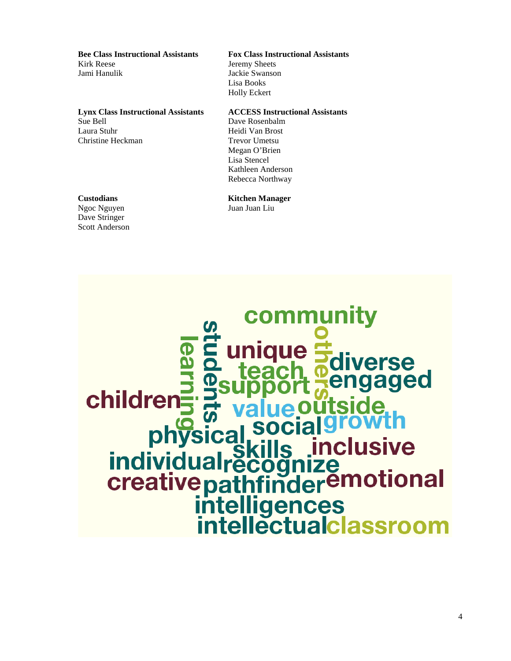**Bee Class Instructional Assistants Fox Class Instructional Assistants** Kirk Reese Jeremy Sheets

**Lynx Class Instructional Assistants ACCESS Instructional Assistants** Sue Bell Dave Rosenbalm Laura Stuhr Heidi Van Brost Christine Heckman Trevor Umetsu

Ngoc Nguyen Juan Juan Liu Dave Stringer Scott Anderson

Jackie Swanson Lisa Books Holly Eckert

Megan O'Brien Lisa Stencel Kathleen Anderson Rebecca Northway

### **Custodians Kitchen Manager**

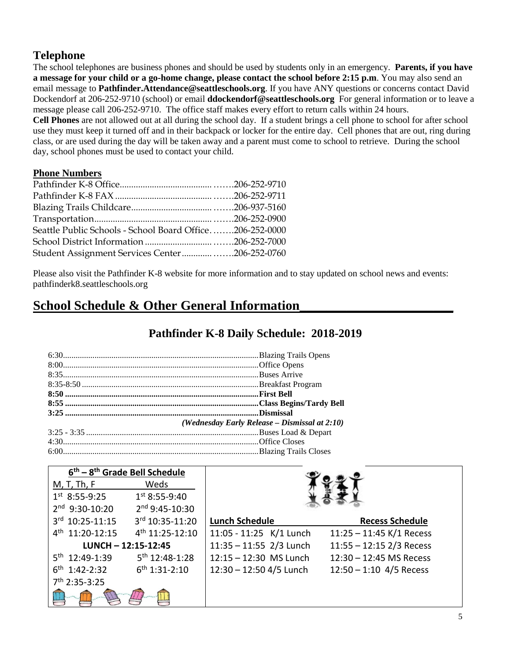### **Telephone**

The school telephones are business phones and should be used by students only in an emergency. **Parents, if you have a message for your child or a go-home change, please contact the school before 2:15 p.m**. You may also send an email message to **Pathfinder.Attendance@seattleschools.org**. If you have ANY questions or concerns contact David Dockendorf at 206-252-9710 (school) or email **ddockendorf@seattleschools.org** For general information or to leave a message please call 206-252-9710. The office staff makes every effort to return calls within 24 hours. **Cell Phones** are not allowed out at all during the school day. If a student brings a cell phone to school for after school

use they must keep it turned off and in their backpack or locker for the entire day. Cell phones that are out, ring during class, or are used during the day will be taken away and a parent must come to school to retrieve. During the school day, school phones must be used to contact your child.

#### **Phone Numbers**

| Seattle Public Schools - School Board Office206-252-0000 |  |
|----------------------------------------------------------|--|
|                                                          |  |
| Student Assignment Services Center206-252-0760           |  |

Please also visit the Pathfinder K-8 website for more information and to stay updated on school news and events: pathfinderk8.seattleschools.org

### **School Schedule & Other General Information\_\_\_\_\_\_\_\_\_\_\_\_\_\_\_\_\_\_\_\_\_\_\_**

### **Pathfinder K-8 Daily Schedule: 2018-2019**

| (Wednesday Early Release – Dismissal at 2:10) |
|-----------------------------------------------|
|                                               |
|                                               |
|                                               |

| $6th - 8th$ Grade Bell Schedule |                             |                           |                            |
|---------------------------------|-----------------------------|---------------------------|----------------------------|
| M, T, Th, F                     | Weds                        |                           |                            |
| $1st 8:55-9:25$                 | $1st 8:55-9:40$             |                           |                            |
| 2nd 9:30-10:20                  | 2 <sup>nd</sup> 9:45-10:30  |                           |                            |
| 3rd 10:25-11:15                 | 3rd 10:35-11:20             | <b>Lunch Schedule</b>     | <b>Recess Schedule</b>     |
| 4 <sup>th</sup> 11:20-12:15     | 4 <sup>th</sup> 11:25-12:10 | 11:05 - 11:25 K/1 Lunch   | $11:25 - 11:45$ K/1 Recess |
| $LUNCH - 12:15-12:45$           |                             | $11:35 - 11:55$ 2/3 Lunch | $11:55 - 12:15$ 2/3 Recess |
| $5^{th}$ 12:49-1:39             | 5 <sup>th</sup> 12:48-1:28  | 12:15 - 12:30 MS Lunch    | 12:30 - 12:45 MS Recess    |
| $6^{th}$ 1:42-2:32              | $6^{th}$ 1:31-2:10          | 12:30 - 12:50 4/5 Lunch   | $12:50 - 1:10$ 4/5 Recess  |
| 7 <sup>th</sup> 2:35-3:25       |                             |                           |                            |
|                                 |                             |                           |                            |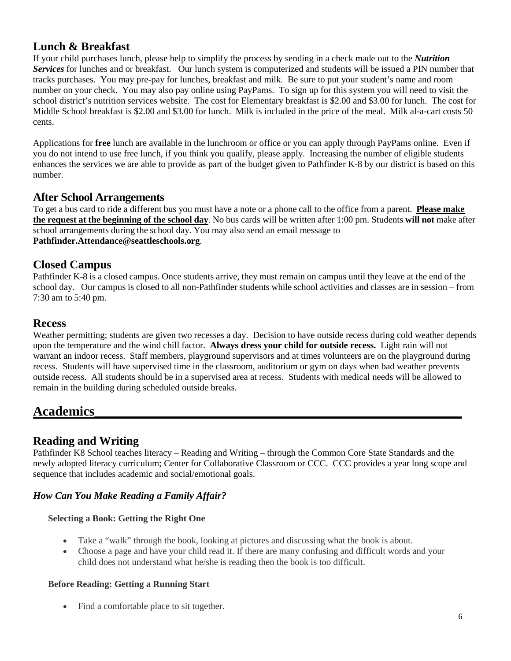### **Lunch & Breakfast**

If your child purchases lunch, please help to simplify the process by sending in a check made out to the *Nutrition Services* for lunches and or breakfast. Our lunch system is computerized and students will be issued a PIN number that tracks purchases. You may pre-pay for lunches, breakfast and milk. Be sure to put your student's name and room number on your check. You may also pay online using PayPams. To sign up for this system you will need to visit the school district's nutrition services website. The cost for Elementary breakfast is \$2.00 and \$3.00 for lunch. The cost for Middle School breakfast is \$2.00 and \$3.00 for lunch. Milk is included in the price of the meal. Milk al-a-cart costs 50 cents.

Applications for **free** lunch are available in the lunchroom or office or you can apply through PayPams online. Even if you do not intend to use free lunch, if you think you qualify, please apply. Increasing the number of eligible students enhances the services we are able to provide as part of the budget given to Pathfinder K-8 by our district is based on this number.

### **After School Arrangements**

To get a bus card to ride a different bus you must have a note or a phone call to the office from a parent. **Please make the request at the beginning of the school day**. No bus cards will be written after 1:00 pm. Students **will not** make after school arrangements during the school day. You may also send an email message to **Pathfinder.Attendance@seattleschools.org**.

### **Closed Campus**

Pathfinder K-8 is a closed campus. Once students arrive, they must remain on campus until they leave at the end of the school day. Our campus is closed to all non-Pathfinder students while school activities and classes are in session – from 7:30 am to 5:40 pm.

### **Recess**

Weather permitting; students are given two recesses a day. Decision to have outside recess during cold weather depends upon the temperature and the wind chill factor. **Always dress your child for outside recess.** Light rain will not warrant an indoor recess. Staff members, playground supervisors and at times volunteers are on the playground during recess. Students will have supervised time in the classroom, auditorium or gym on days when bad weather prevents outside recess. All students should be in a supervised area at recess. Students with medical needs will be allowed to remain in the building during scheduled outside breaks.

## **Academics\_\_\_\_\_\_\_\_\_\_\_\_\_\_\_\_\_\_\_\_\_\_\_\_\_\_\_\_\_\_\_\_\_\_\_\_\_\_\_\_\_\_\_\_\_\_\_\_\_\_\_\_\_\_\_**

### **Reading and Writing**

Pathfinder K8 School teaches literacy – Reading and Writing – through the Common Core State Standards and the newly adopted literacy curriculum; Center for Collaborative Classroom or CCC. CCC provides a year long scope and sequence that includes academic and social/emotional goals.

### *How Can You Make Reading a Family Affair?*

#### **Selecting a Book: Getting the Right One**

- Take a "walk" through the book, looking at pictures and discussing what the book is about.
- Choose a page and have your child read it. If there are many confusing and difficult words and your child does not understand what he/she is reading then the book is too difficult.

#### **Before Reading: Getting a Running Start**

• Find a comfortable place to sit together.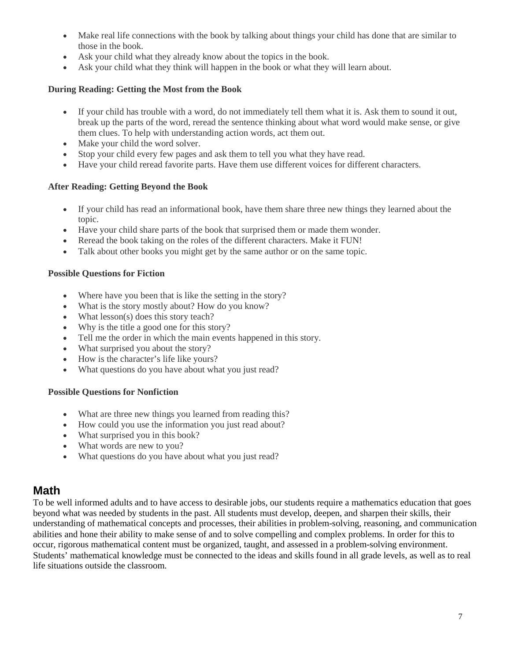- Make real life connections with the book by talking about things your child has done that are similar to those in the book.
- Ask your child what they already know about the topics in the book.
- Ask your child what they think will happen in the book or what they will learn about.

#### **During Reading: Getting the Most from the Book**

- If your child has trouble with a word, do not immediately tell them what it is. Ask them to sound it out, break up the parts of the word, reread the sentence thinking about what word would make sense, or give them clues. To help with understanding action words, act them out.
- Make your child the word solver.
- Stop your child every few pages and ask them to tell you what they have read.
- Have your child reread favorite parts. Have them use different voices for different characters.

#### **After Reading: Getting Beyond the Book**

- If your child has read an informational book, have them share three new things they learned about the topic.
- Have your child share parts of the book that surprised them or made them wonder.
- Reread the book taking on the roles of the different characters. Make it FUN!
- Talk about other books you might get by the same author or on the same topic.

#### **Possible Questions for Fiction**

- Where have you been that is like the setting in the story?
- What is the story mostly about? How do you know?
- What lesson(s) does this story teach?
- Why is the title a good one for this story?
- Tell me the order in which the main events happened in this story.
- What surprised you about the story?
- How is the character's life like yours?
- What questions do you have about what you just read?

#### **Possible Questions for Nonfiction**

- What are three new things you learned from reading this?
- How could you use the information you just read about?
- What surprised you in this book?
- What words are new to you?
- What questions do you have about what you just read?

### **Math**

To be well informed adults and to have access to desirable jobs, our students require a mathematics education that goes beyond what was needed by students in the past. All students must develop, deepen, and sharpen their skills, their understanding of mathematical concepts and processes, their abilities in problem-solving, reasoning, and communication abilities and hone their ability to make sense of and to solve compelling and complex problems. In order for this to occur, rigorous mathematical content must be organized, taught, and assessed in a problem-solving environment. Students' mathematical knowledge must be connected to the ideas and skills found in all grade levels, as well as to real life situations outside the classroom.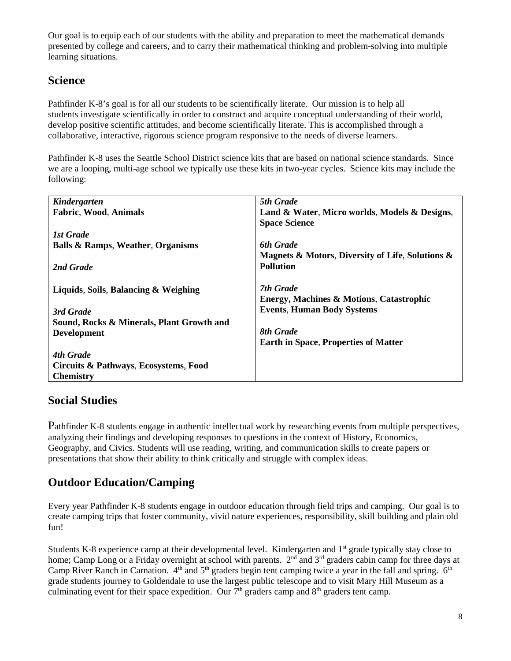Our goal is to equip each of our students with the ability and preparation to meet the mathematical demands presented by college and careers, and to carry their mathematical thinking and problem-solving into multiple learning situations.

### **Science**

Pathfinder K-8's goal is for all our students to be scientifically literate. Our mission is to help all students investigate scientifically in order to construct and acquire conceptual understanding of their world, develop positive scientific attitudes, and become scientifically literate. This is accomplished through a collaborative, interactive, rigorous science program responsive to the needs of diverse learners.

Pathfinder K-8 uses the Seattle School District science kits that are based on national science standards. Since we are a looping, multi-age school we typically use these kits in two-year cycles. Science kits may include the following:

| Kindergarten                                 | 5th Grade                                           |
|----------------------------------------------|-----------------------------------------------------|
| <b>Fabric, Wood, Animals</b>                 | Land & Water, Micro worlds, Models & Designs,       |
|                                              | <b>Space Science</b>                                |
| 1st Grade                                    |                                                     |
| <b>Balls &amp; Ramps, Weather, Organisms</b> | <b>6th Grade</b>                                    |
|                                              | Magnets & Motors, Diversity of Life, Solutions &    |
| 2nd Grade                                    | <b>Pollution</b>                                    |
|                                              |                                                     |
| Liquids, Soils, Balancing & Weighing         | 7th Grade                                           |
|                                              | <b>Energy, Machines &amp; Motions, Catastrophic</b> |
| 3rd Grade                                    | <b>Events, Human Body Systems</b>                   |
| Sound, Rocks & Minerals, Plant Growth and    |                                                     |
| <b>Development</b>                           | <b>8th Grade</b>                                    |
|                                              | <b>Earth in Space, Properties of Matter</b>         |
| 4th Grade                                    |                                                     |
| Circuits & Pathways, Ecosystems, Food        |                                                     |
| <b>Chemistry</b>                             |                                                     |

### **Social Studies**

Pathfinder K-8 students engage in authentic intellectual work by researching events from multiple perspectives, analyzing their findings and developing responses to questions in the context of History, Economics, Geography, and Civics. Students will use reading, writing, and communication skills to create papers or presentations that show their ability to think critically and struggle with complex ideas.

### **Outdoor Education/Camping**

Every year Pathfinder K-8 students engage in outdoor education through field trips and camping. Our goal is to create camping trips that foster community, vivid nature experiences, responsibility, skill building and plain old fun!

Students K-8 experience camp at their developmental level. Kindergarten and 1<sup>st</sup> grade typically stay close to home; Camp Long or a Friday overnight at school with parents. 2<sup>nd</sup> and 3<sup>rd</sup> graders cabin camp for three days at Camp River Ranch in Carnation.  $4<sup>th</sup>$  and  $5<sup>th</sup>$  graders begin tent camping twice a year in the fall and spring.  $6<sup>th</sup>$ grade students journey to Goldendale to use the largest public telescope and to visit Mary Hill Museum as a culminating event for their space expedition. Our  $7<sup>th</sup>$  graders camp and  $8<sup>th</sup>$  graders tent camp.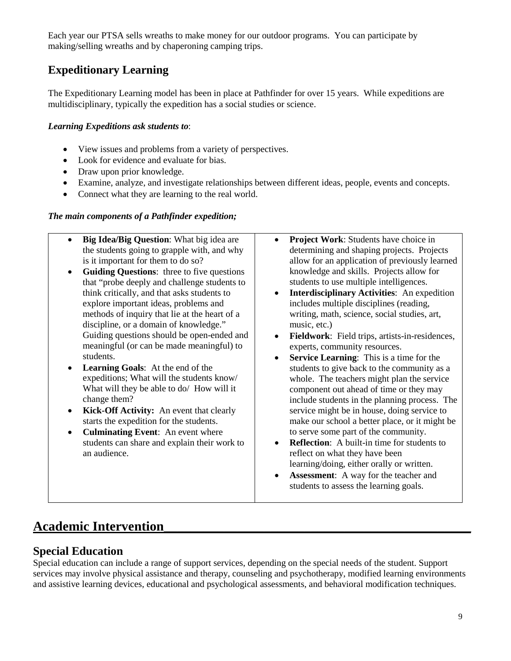Each year our PTSA sells wreaths to make money for our outdoor programs. You can participate by making/selling wreaths and by chaperoning camping trips.

### **Expeditionary Learning**

The Expeditionary Learning model has been in place at Pathfinder for over 15 years. While expeditions are multidisciplinary, typically the expedition has a social studies or science.

#### *Learning Expeditions ask students to*:

- View issues and problems from a variety of perspectives.
- Look for evidence and evaluate for bias.
- Draw upon prior knowledge.
- Examine, analyze, and investigate relationships between different ideas, people, events and concepts.
- Connect what they are learning to the real world.

#### *The main components of a Pathfinder expedition;*

- **Big Idea/Big Question**: What big idea are the students going to grapple with, and why is it important for them to do so?
- **Guiding Questions**: three to five questions that "probe deeply and challenge students to think critically, and that asks students to explore important ideas, problems and methods of inquiry that lie at the heart of a discipline, or a domain of knowledge." Guiding questions should be open-ended and meaningful (or can be made meaningful) to students.
- **Learning Goals**: At the end of the expeditions; What will the students know/ What will they be able to do/ How will it change them?
- **Kick-Off Activity:** An event that clearly starts the expedition for the students.
- **Culminating Event**: An event where students can share and explain their work to an audience.
- **Project Work**: Students have choice in determining and shaping projects. Projects allow for an application of previously learned knowledge and skills. Projects allow for students to use multiple intelligences.
- **Interdisciplinary Activities**: An expedition includes multiple disciplines (reading, writing, math, science, social studies, art, music, etc.)
- **Fieldwork**: Field trips, artists-in-residences, experts, community resources.
- **Service Learning**: This is a time for the students to give back to the community as a whole. The teachers might plan the service component out ahead of time or they may include students in the planning process. The service might be in house, doing service to make our school a better place, or it might be to serve some part of the community.
- **Reflection:** A built-in time for students to reflect on what they have been learning/doing, either orally or written.
- **Assessment**: A way for the teacher and students to assess the learning goals.

## **Academic Intervention\_\_\_\_\_\_\_\_\_\_\_\_\_\_\_\_\_\_\_\_\_\_\_\_\_\_\_\_\_\_\_\_\_\_\_\_\_\_\_\_\_\_\_\_\_\_**

### **Special Education**

Special education can include a range of support services, depending on the special needs of the student. Support services may involve physical assistance and therapy, counseling and psychotherapy, modified learning environments and assistive learning devices, educational and psychological assessments, and behavioral modification techniques.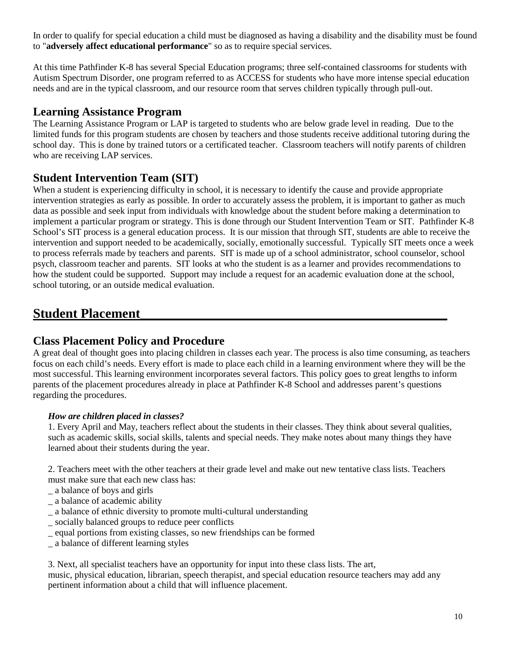In order to qualify for special education a child must be diagnosed as having a disability and the disability must be found to "**adversely affect educational performance**" so as to require special services.

At this time Pathfinder K-8 has several Special Education programs; three self-contained classrooms for students with Autism Spectrum Disorder, one program referred to as ACCESS for students who have more intense special education needs and are in the typical classroom, and our resource room that serves children typically through pull-out.

#### **Learning Assistance Program**

The Learning Assistance Program or LAP is targeted to students who are below grade level in reading. Due to the limited funds for this program students are chosen by teachers and those students receive additional tutoring during the school day. This is done by trained tutors or a certificated teacher. Classroom teachers will notify parents of children who are receiving LAP services.

### **Student Intervention Team (SIT)**

When a student is experiencing difficulty in school, it is necessary to identify the cause and provide appropriate intervention strategies as early as possible. In order to accurately assess the problem, it is important to gather as much data as possible and seek input from individuals with knowledge about the student before making a determination to implement a particular program or strategy. This is done through our Student Intervention Team or SIT. Pathfinder K-8 School's SIT process is a general education process. It is our mission that through SIT, students are able to receive the intervention and support needed to be academically, socially, emotionally successful. Typically SIT meets once a week to process referrals made by teachers and parents. SIT is made up of a school administrator, school counselor, school psych, classroom teacher and parents. SIT looks at who the student is as a learner and provides recommendations to how the student could be supported. Support may include a request for an academic evaluation done at the school, school tutoring, or an outside medical evaluation.

### **Student Placement\_\_\_\_\_\_\_\_\_\_\_\_\_\_\_\_\_\_\_\_\_\_\_\_\_\_\_\_\_\_\_\_\_\_\_\_\_\_\_\_\_\_\_\_\_\_**

### **Class Placement Policy and Procedure**

A great deal of thought goes into placing children in classes each year. The process is also time consuming, as teachers focus on each child's needs. Every effort is made to place each child in a learning environment where they will be the most successful. This learning environment incorporates several factors. This policy goes to great lengths to inform parents of the placement procedures already in place at Pathfinder K-8 School and addresses parent's questions regarding the procedures.

#### *How are children placed in classes?*

1. Every April and May, teachers reflect about the students in their classes. They think about several qualities, such as academic skills, social skills, talents and special needs. They make notes about many things they have learned about their students during the year.

2. Teachers meet with the other teachers at their grade level and make out new tentative class lists. Teachers must make sure that each new class has:

- \_ a balance of boys and girls
- \_ a balance of academic ability
- \_ a balance of ethnic diversity to promote multi-cultural understanding
- \_ socially balanced groups to reduce peer conflicts
- \_ equal portions from existing classes, so new friendships can be formed
- \_ a balance of different learning styles

3. Next, all specialist teachers have an opportunity for input into these class lists. The art,

music, physical education, librarian, speech therapist, and special education resource teachers may add any pertinent information about a child that will influence placement.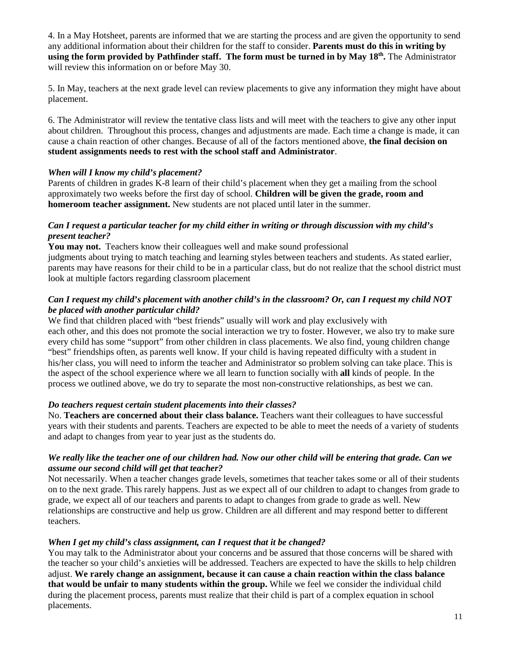4. In a May Hotsheet, parents are informed that we are starting the process and are given the opportunity to send any additional information about their children for the staff to consider. **Parents must do this in writing by using the form provided by Pathfinder staff. The form must be turned in by May 18th.** The Administrator will review this information on or before May 30.

5. In May, teachers at the next grade level can review placements to give any information they might have about placement.

6. The Administrator will review the tentative class lists and will meet with the teachers to give any other input about children. Throughout this process, changes and adjustments are made. Each time a change is made, it can cause a chain reaction of other changes. Because of all of the factors mentioned above, **the final decision on student assignments needs to rest with the school staff and Administrator**.

#### *When will I know my child's placement?*

Parents of children in grades K-8 learn of their child's placement when they get a mailing from the school approximately two weeks before the first day of school. **Children will be given the grade, room and homeroom teacher assignment.** New students are not placed until later in the summer.

#### *Can I request a particular teacher for my child either in writing or through discussion with my child's present teacher?*

**You may not.** Teachers know their colleagues well and make sound professional judgments about trying to match teaching and learning styles between teachers and students. As stated earlier, parents may have reasons for their child to be in a particular class, but do not realize that the school district must look at multiple factors regarding classroom placement

#### *Can I request my child's placement with another child's in the classroom? Or, can I request my child NOT be placed with another particular child?*

We find that children placed with "best friends" usually will work and play exclusively with each other, and this does not promote the social interaction we try to foster. However, we also try to make sure every child has some "support" from other children in class placements. We also find, young children change "best" friendships often, as parents well know. If your child is having repeated difficulty with a student in his/her class, you will need to inform the teacher and Administrator so problem solving can take place. This is the aspect of the school experience where we all learn to function socially with **all** kinds of people. In the process we outlined above, we do try to separate the most non-constructive relationships, as best we can.

#### *Do teachers request certain student placements into their classes?*

No. **Teachers are concerned about their class balance.** Teachers want their colleagues to have successful years with their students and parents. Teachers are expected to be able to meet the needs of a variety of students and adapt to changes from year to year just as the students do.

#### *We really like the teacher one of our children had. Now our other child will be entering that grade. Can we assume our second child will get that teacher?*

Not necessarily. When a teacher changes grade levels, sometimes that teacher takes some or all of their students on to the next grade. This rarely happens. Just as we expect all of our children to adapt to changes from grade to grade, we expect all of our teachers and parents to adapt to changes from grade to grade as well. New relationships are constructive and help us grow. Children are all different and may respond better to different teachers.

#### *When I get my child's class assignment, can I request that it be changed?*

You may talk to the Administrator about your concerns and be assured that those concerns will be shared with the teacher so your child's anxieties will be addressed. Teachers are expected to have the skills to help children adjust. **We rarely change an assignment, because it can cause a chain reaction within the class balance that would be unfair to many students within the group.** While we feel we consider the individual child during the placement process, parents must realize that their child is part of a complex equation in school placements.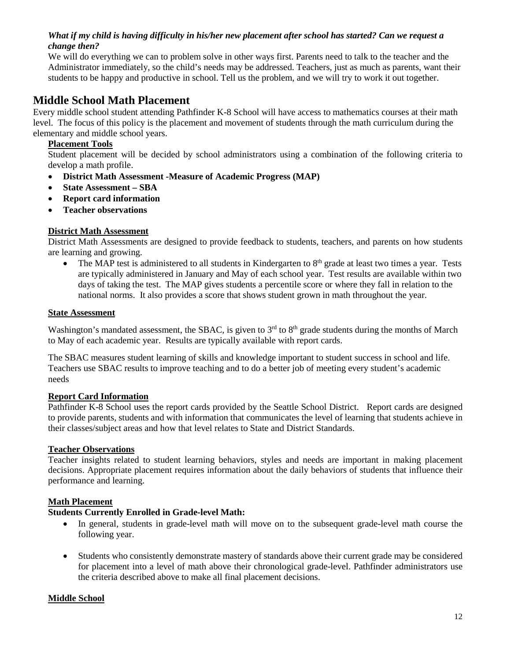#### *What if my child is having difficulty in his/her new placement after school has started? Can we request a change then?*

We will do everything we can to problem solve in other ways first. Parents need to talk to the teacher and the Administrator immediately, so the child's needs may be addressed. Teachers, just as much as parents, want their students to be happy and productive in school. Tell us the problem, and we will try to work it out together.

### **Middle School Math Placement**

Every middle school student attending Pathfinder K-8 School will have access to mathematics courses at their math level. The focus of this policy is the placement and movement of students through the math curriculum during the elementary and middle school years.

#### **Placement Tools**

Student placement will be decided by school administrators using a combination of the following criteria to develop a math profile.

- **District Math Assessment -Measure of Academic Progress (MAP)**
- **State Assessment – SBA**
- **Report card information**
- **Teacher observations**

#### **District Math Assessment**

District Math Assessments are designed to provide feedback to students, teachers, and parents on how students are learning and growing.

The MAP test is administered to all students in Kindergarten to 8<sup>th</sup> grade at least two times a year. Tests are typically administered in January and May of each school year. Test results are available within two days of taking the test. The MAP gives students a percentile score or where they fall in relation to the national norms. It also provides a score that shows student grown in math throughout the year.

#### **State Assessment**

Washington's mandated assessment, the SBAC, is given to  $3<sup>rd</sup>$  to  $8<sup>th</sup>$  grade students during the months of March to May of each academic year. Results are typically available with report cards.

The SBAC measures student learning of skills and knowledge important to student success in school and life. Teachers use SBAC results to improve teaching and to do a better job of meeting every student's academic needs

#### **Report Card Information**

Pathfinder K-8 School uses the report cards provided by the Seattle School District. Report cards are designed to provide parents, students and with information that communicates the level of learning that students achieve in their classes/subject areas and how that level relates to State and District Standards.

#### **Teacher Observations**

Teacher insights related to student learning behaviors, styles and needs are important in making placement decisions. Appropriate placement requires information about the daily behaviors of students that influence their performance and learning.

#### **Math Placement**

#### **Students Currently Enrolled in Grade-level Math:**

- In general, students in grade-level math will move on to the subsequent grade-level math course the following year.
- Students who consistently demonstrate mastery of standards above their current grade may be considered for placement into a level of math above their chronological grade-level. Pathfinder administrators use the criteria described above to make all final placement decisions.

#### **Middle School**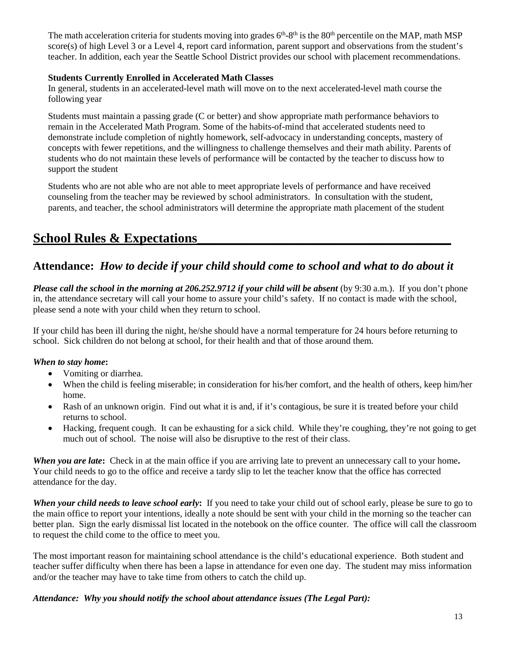The math acceleration criteria for students moving into grades 6<sup>th</sup>-8<sup>th</sup> is the 80<sup>th</sup> percentile on the MAP, math MSP score(s) of high Level 3 or a Level 4, report card information, parent support and observations from the student's teacher. In addition, each year the Seattle School District provides our school with placement recommendations.

#### **Students Currently Enrolled in Accelerated Math Classes**

In general, students in an accelerated-level math will move on to the next accelerated-level math course the following year

Students must maintain a passing grade (C or better) and show appropriate math performance behaviors to remain in the Accelerated Math Program. Some of the habits-of-mind that accelerated students need to demonstrate include completion of nightly homework, self-advocacy in understanding concepts, mastery of concepts with fewer repetitions, and the willingness to challenge themselves and their math ability. Parents of students who do not maintain these levels of performance will be contacted by the teacher to discuss how to support the student

Students who are not able who are not able to meet appropriate levels of performance and have received counseling from the teacher may be reviewed by school administrators. In consultation with the student, parents, and teacher, the school administrators will determine the appropriate math placement of the student

### **School Rules & Expectations\_\_\_\_\_\_\_\_\_\_\_\_\_\_\_\_\_\_\_\_\_\_\_\_\_\_\_\_\_\_\_\_\_\_\_\_\_\_**

### **Attendance:** *How to decide if your child should come to school and what to do about it*

*Please call the school in the morning at 206.252.9712 if your child will be absent* (by 9:30 a.m.). If you don't phone in, the attendance secretary will call your home to assure your child's safety. If no contact is made with the school, please send a note with your child when they return to school.

If your child has been ill during the night, he/she should have a normal temperature for 24 hours before returning to school. Sick children do not belong at school, for their health and that of those around them.

#### *When to stay home***:**

- Vomiting or diarrhea.
- When the child is feeling miserable; in consideration for his/her comfort, and the health of others, keep him/her home.
- Rash of an unknown origin. Find out what it is and, if it's contagious, be sure it is treated before your child returns to school.
- Hacking, frequent cough. It can be exhausting for a sick child. While they're coughing, they're not going to get much out of school. The noise will also be disruptive to the rest of their class.

*When you are late***:** Check in at the main office if you are arriving late to prevent an unnecessary call to your home**.**  Your child needs to go to the office and receive a tardy slip to let the teacher know that the office has corrected attendance for the day.

*When your child needs to leave school early***:** If you need to take your child out of school early, please be sure to go to the main office to report your intentions, ideally a note should be sent with your child in the morning so the teacher can better plan. Sign the early dismissal list located in the notebook on the office counter. The office will call the classroom to request the child come to the office to meet you.

The most important reason for maintaining school attendance is the child's educational experience. Both student and teacher suffer difficulty when there has been a lapse in attendance for even one day. The student may miss information and/or the teacher may have to take time from others to catch the child up.

#### *Attendance: Why you should notify the school about attendance issues (The Legal Part):*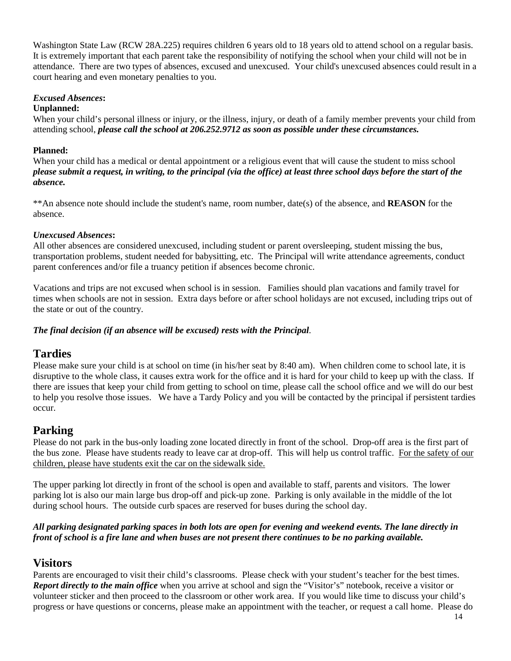Washington State Law (RCW 28A.225) requires children 6 years old to 18 years old to attend school on a regular basis. It is extremely important that each parent take the responsibility of notifying the school when your child will not be in attendance. There are two types of absences, excused and unexcused. Your child's unexcused absences could result in a court hearing and even monetary penalties to you.

#### *Excused Absences***:**

#### **Unplanned:**

When your child's personal illness or injury, or the illness, injury, or death of a family member prevents your child from attending school, *please call the school at 206.252.9712 as soon as possible under these circumstances.* 

#### **Planned:**

When your child has a medical or dental appointment or a religious event that will cause the student to miss school *please submit a request, in writing, to the principal (via the office) at least three school days before the start of the absence.* 

\*\*An absence note should include the student's name, room number, date(s) of the absence, and **REASON** for the absence.

#### *Unexcused Absences***:**

All other absences are considered unexcused, including student or parent oversleeping, student missing the bus, transportation problems, student needed for babysitting, etc. The Principal will write attendance agreements, conduct parent conferences and/or file a truancy petition if absences become chronic.

Vacations and trips are not excused when school is in session. Families should plan vacations and family travel for times when schools are not in session. Extra days before or after school holidays are not excused, including trips out of the state or out of the country.

#### *The final decision (if an absence will be excused) rests with the Principal*.

### **Tardies**

Please make sure your child is at school on time (in his/her seat by 8:40 am). When children come to school late, it is disruptive to the whole class, it causes extra work for the office and it is hard for your child to keep up with the class. If there are issues that keep your child from getting to school on time, please call the school office and we will do our best to help you resolve those issues. We have a Tardy Policy and you will be contacted by the principal if persistent tardies occur.

### **Parking**

Please do not park in the bus-only loading zone located directly in front of the school. Drop-off area is the first part of the bus zone. Please have students ready to leave car at drop-off. This will help us control traffic. For the safety of our children, please have students exit the car on the sidewalk side.

The upper parking lot directly in front of the school is open and available to staff, parents and visitors. The lower parking lot is also our main large bus drop-off and pick-up zone. Parking is only available in the middle of the lot during school hours. The outside curb spaces are reserved for buses during the school day.

#### *All parking designated parking spaces in both lots are open for evening and weekend events. The lane directly in front of school is a fire lane and when buses are not present there continues to be no parking available.*

### **Visitors**

Parents are encouraged to visit their child's classrooms. Please check with your student's teacher for the best times. *Report directly to the main office* when you arrive at school and sign the "Visitor's" notebook, receive a visitor or volunteer sticker and then proceed to the classroom or other work area. If you would like time to discuss your child's progress or have questions or concerns, please make an appointment with the teacher, or request a call home. Please do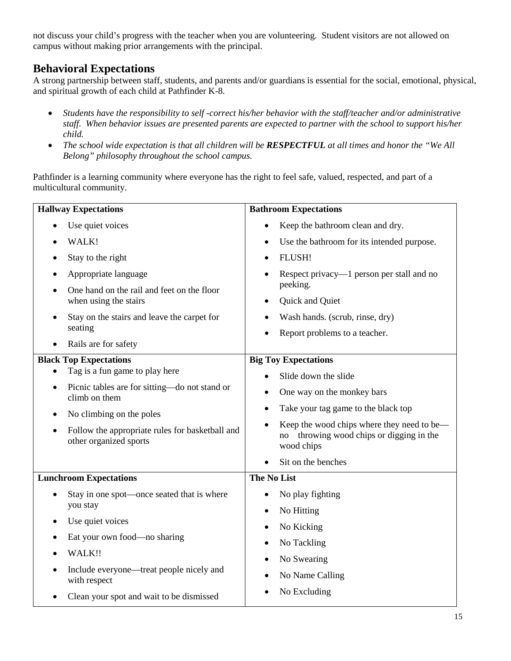not discuss your child's progress with the teacher when you are volunteering. Student visitors are not allowed on campus without making prior arrangements with the principal.

### **Behavioral Expectations**

A strong partnership between staff, students, and parents and/or guardians is essential for the social, emotional, physical, and spiritual growth of each child at Pathfinder K-8.

- *Students have the responsibility to self -correct his/her behavior with the staff/teacher and/or administrative staff. When behavior issues are presented parents are expected to partner with the school to support his/her child.*
- *The school wide expectation is that all children will be RESPECTFUL at all times and honor the "We All Belong" philosophy throughout the school campus.*

Pathfinder is a learning community where everyone has the right to feel safe, valued, respected, and part of a multicultural community.

| <b>Hallway Expectations</b>                                                 | <b>Bathroom Expectations</b>                                                                            |  |  |
|-----------------------------------------------------------------------------|---------------------------------------------------------------------------------------------------------|--|--|
| Use quiet voices                                                            | Keep the bathroom clean and dry.                                                                        |  |  |
| WALK!                                                                       | Use the bathroom for its intended purpose.                                                              |  |  |
| Stay to the right                                                           | FLUSH!                                                                                                  |  |  |
| Appropriate language                                                        | Respect privacy—1 person per stall and no                                                               |  |  |
| One hand on the rail and feet on the floor<br>when using the stairs         | peeking.<br>Quick and Quiet                                                                             |  |  |
| Stay on the stairs and leave the carpet for                                 | Wash hands. (scrub, rinse, dry)                                                                         |  |  |
| seating                                                                     | Report problems to a teacher.                                                                           |  |  |
| Rails are for safety                                                        |                                                                                                         |  |  |
| <b>Black Top Expectations</b>                                               | <b>Big Toy Expectations</b>                                                                             |  |  |
| Tag is a fun game to play here                                              | Slide down the slide                                                                                    |  |  |
| Picnic tables are for sitting-do not stand or<br>$\bullet$<br>climb on them | One way on the monkey bars                                                                              |  |  |
| No climbing on the poles<br>$\bullet$                                       | Take your tag game to the black top<br>٠                                                                |  |  |
| Follow the appropriate rules for basketball and<br>other organized sports   | Keep the wood chips where they need to be—<br>throwing wood chips or digging in the<br>no<br>wood chips |  |  |
|                                                                             | Sit on the benches                                                                                      |  |  |
| <b>Lunchroom Expectations</b>                                               | <b>The No List</b>                                                                                      |  |  |
| Stay in one spot—once seated that is where                                  | No play fighting                                                                                        |  |  |
| you stay                                                                    | No Hitting                                                                                              |  |  |
| Use quiet voices                                                            | No Kicking                                                                                              |  |  |
| Eat your own food—no sharing                                                | No Tackling                                                                                             |  |  |
| WALK!!                                                                      | No Swearing                                                                                             |  |  |
| Include everyone—treat people nicely and<br>with respect                    | No Name Calling                                                                                         |  |  |
| Clean your spot and wait to be dismissed                                    | No Excluding                                                                                            |  |  |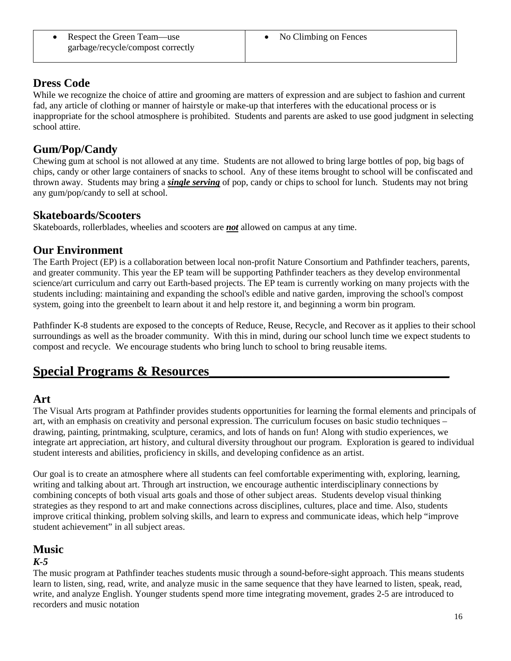• Respect the Green Team—use garbage/recycle/compost correctly

### **Dress Code**

While we recognize the choice of attire and grooming are matters of expression and are subject to fashion and current fad, any article of clothing or manner of hairstyle or make-up that interferes with the educational process or is inappropriate for the school atmosphere is prohibited. Students and parents are asked to use good judgment in selecting school attire.

### **Gum/Pop/Candy**

Chewing gum at school is not allowed at any time. Students are not allowed to bring large bottles of pop, big bags of chips, candy or other large containers of snacks to school. Any of these items brought to school will be confiscated and thrown away. Students may bring a *single serving* of pop, candy or chips to school for lunch. Students may not bring any gum/pop/candy to sell at school.

### **Skateboards/Scooters**

Skateboards, rollerblades, wheelies and scooters are *not* allowed on campus at any time.

### **Our Environment**

The Earth Project (EP) is a collaboration between local non-profit Nature Consortium and Pathfinder teachers, parents, and greater community. This year the EP team will be supporting Pathfinder teachers as they develop environmental science/art curriculum and carry out Earth-based projects. The EP team is currently working on many projects with the students including: maintaining and expanding the school's edible and native garden, improving the school's compost system, going into the greenbelt to learn about it and help restore it, and beginning a worm bin program.

Pathfinder K-8 students are exposed to the concepts of Reduce, Reuse, Recycle, and Recover as it applies to their school surroundings as well as the broader community. With this in mind, during our school lunch time we expect students to compost and recycle. We encourage students who bring lunch to school to bring reusable items.

## **Special Programs & Resources\_\_\_\_\_\_\_\_\_\_\_\_\_\_\_\_\_\_\_\_\_\_\_\_\_\_\_\_\_\_\_\_\_\_\_\_**

### **Art**

The Visual Arts program at Pathfinder provides students opportunities for learning the formal elements and principals of art, with an emphasis on creativity and personal expression. The curriculum focuses on basic studio techniques – drawing, painting, printmaking, sculpture, ceramics, and lots of hands on fun! Along with studio experiences, we integrate art appreciation, art history, and cultural diversity throughout our program. Exploration is geared to individual student interests and abilities, proficiency in skills, and developing confidence as an artist.

Our goal is to create an atmosphere where all students can feel comfortable experimenting with, exploring, learning, writing and talking about art. Through art instruction, we encourage authentic interdisciplinary connections by combining concepts of both visual arts goals and those of other subject areas. Students develop visual thinking strategies as they respond to art and make connections across disciplines, cultures, place and time. Also, students improve critical thinking, problem solving skills, and learn to express and communicate ideas, which help "improve student achievement" in all subject areas.

### **Music**

#### *K-5*

The music program at Pathfinder teaches students music through a sound-before-sight approach. This means students learn to listen, sing, read, write, and analyze music in the same sequence that they have learned to listen, speak, read, write, and analyze English. Younger students spend more time integrating movement, grades 2-5 are introduced to recorders and music notation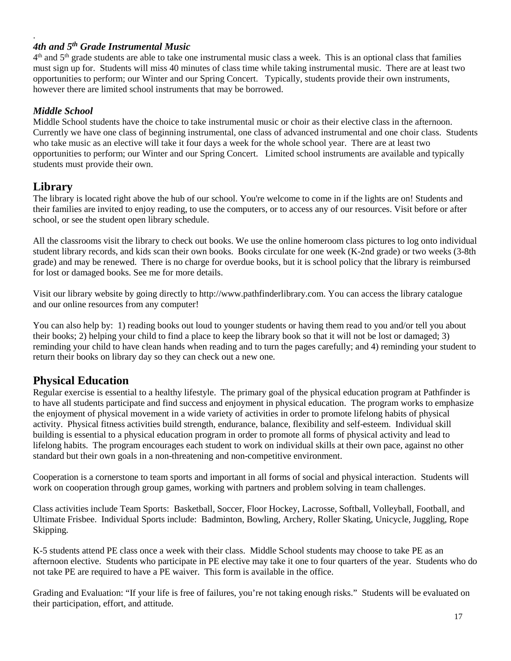#### *4th and 5th Grade Instrumental Music*

 $4<sup>th</sup>$  and  $5<sup>th</sup>$  grade students are able to take one instrumental music class a week. This is an optional class that families must sign up for. Students will miss 40 minutes of class time while taking instrumental music. There are at least two opportunities to perform; our Winter and our Spring Concert. Typically, students provide their own instruments, however there are limited school instruments that may be borrowed.

#### *Middle School*

.

Middle School students have the choice to take instrumental music or choir as their elective class in the afternoon. Currently we have one class of beginning instrumental, one class of advanced instrumental and one choir class. Students who take music as an elective will take it four days a week for the whole school year. There are at least two opportunities to perform; our Winter and our Spring Concert. Limited school instruments are available and typically students must provide their own.

### **Library**

The library is located right above the hub of our school. You're welcome to come in if the lights are on! Students and their families are invited to enjoy reading, to use the computers, or to access any of our resources. Visit before or after school, or see the student [open library schedule.](http://www.pathfinderlibrary.com/contact-info--hours.html)

All the classrooms visit the library to check out books. We use the online homeroom class pictures to log onto individual student library records, and kids scan their own books. Books circulate for one week (K-2nd grade) or two weeks (3-8th grade) and may be renewed. There is no charge for overdue books, but it is school policy that the library is reimbursed for lost or damaged books. See me for more details.

Visit our library website by going directly to http://www.pathfinderlibrary.com. You can access the library catalogue and our online resources from any computer!

You can also help by: 1) reading books out loud to younger students or having them read to you and/or tell you about their books; 2) helping your child to find a place to keep the library book so that it will not be lost or damaged; 3) reminding your child to have clean hands when reading and to turn the pages carefully; and 4) reminding your student to return their books on library day so they can check out a new one.

### **Physical Education**

Regular exercise is essential to a healthy lifestyle. The primary goal of the physical education program at Pathfinder is to have all students participate and find success and enjoyment in physical education. The program works to emphasize the enjoyment of physical movement in a wide variety of activities in order to promote lifelong habits of physical activity. Physical fitness activities build strength, endurance, balance, flexibility and self-esteem. Individual skill building is essential to a physical education program in order to promote all forms of physical activity and lead to lifelong habits. The program encourages each student to work on individual skills at their own pace, against no other standard but their own goals in a non-threatening and non-competitive environment.

Cooperation is a cornerstone to team sports and important in all forms of social and physical interaction. Students will work on cooperation through group games, working with partners and problem solving in team challenges.

Class activities include Team Sports: Basketball, Soccer, Floor Hockey, Lacrosse, Softball, Volleyball, Football, and Ultimate Frisbee. Individual Sports include: Badminton, Bowling, Archery, Roller Skating, Unicycle, Juggling, Rope Skipping.

K-5 students attend PE class once a week with their class. Middle School students may choose to take PE as an afternoon elective. Students who participate in PE elective may take it one to four quarters of the year. Students who do not take PE are required to have a PE waiver. This form is available in the office.

Grading and Evaluation: "If your life is free of failures, you're not taking enough risks." Students will be evaluated on their participation, effort, and attitude.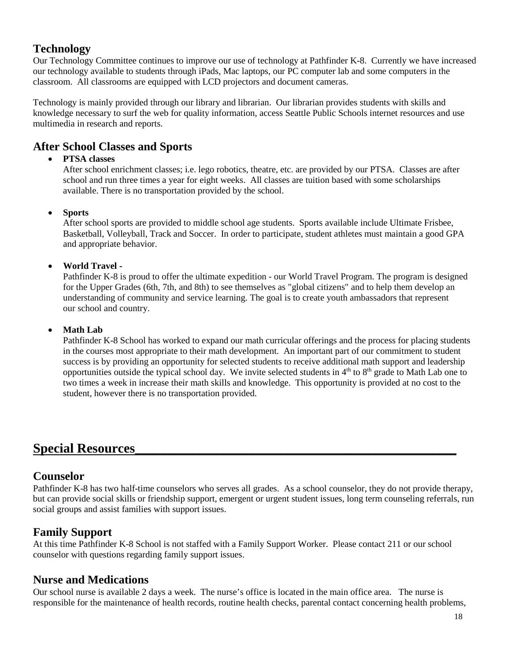### **Technology**

Our Technology Committee continues to improve our use of technology at Pathfinder K-8. Currently we have increased our technology available to students through iPads, Mac laptops, our PC computer lab and some computers in the classroom. All classrooms are equipped with LCD projectors and document cameras.

Technology is mainly provided through our library and librarian. Our librarian provides students with skills and knowledge necessary to surf the web for quality information, access Seattle Public Schools internet resources and use multimedia in research and reports.

### **After School Classes and Sports**

#### • **PTSA classes**

After school enrichment classes; i.e. lego robotics, theatre, etc. are provided by our PTSA. Classes are after school and run three times a year for eight weeks. All classes are tuition based with some scholarships available. There is no transportation provided by the school.

#### • **Sports**

After school sports are provided to middle school age students. Sports available include Ultimate Frisbee, Basketball, Volleyball, Track and Soccer. In order to participate, student athletes must maintain a good GPA and appropriate behavior.

#### • **World Travel -**

Pathfinder K-8 is proud to offer the ultimate expedition - our World Travel Program. The program is designed for the Upper Grades (6th, 7th, and 8th) to see themselves as "global citizens" and to help them develop an understanding of community and service learning. The goal is to create youth ambassadors that represent our school and country.

#### • **Math Lab**

Pathfinder K-8 School has worked to expand our math curricular offerings and the process for placing students in the courses most appropriate to their math development. An important part of our commitment to student success is by providing an opportunity for selected students to receive additional math support and leadership opportunities outside the typical school day. We invite selected students in  $4<sup>th</sup>$  to  $8<sup>th</sup>$  grade to Math Lab one to two times a week in increase their math skills and knowledge. This opportunity is provided at no cost to the student, however there is no transportation provided.

### **Special Resources\_\_\_\_\_\_\_\_\_\_\_\_\_\_\_\_\_\_\_\_\_\_\_\_\_\_\_\_\_\_\_\_\_\_\_\_\_\_\_\_\_\_\_\_\_\_\_\_\_\_\_\_\_\_\_**

### **Counselor**

Pathfinder K-8 has two half-time counselors who serves all grades. As a school counselor, they do not provide therapy, but can provide social skills or friendship support, emergent or urgent student issues, long term counseling referrals, run social groups and assist families with support issues.

### **Family Support**

At this time Pathfinder K-8 School is not staffed with a Family Support Worker. Please contact 211 or our school counselor with questions regarding family support issues.

### **Nurse and Medications**

Our school nurse is available 2 days a week. The nurse's office is located in the main office area. The nurse is responsible for the maintenance of health records, routine health checks, parental contact concerning health problems,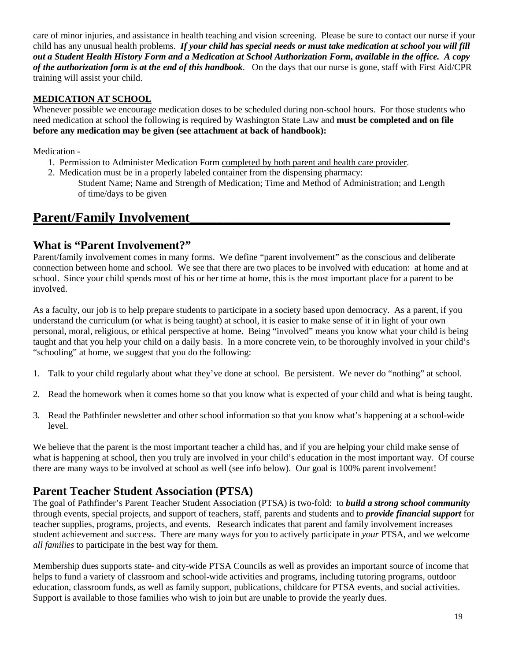care of minor injuries, and assistance in health teaching and vision screening. Please be sure to contact our nurse if your child has any unusual health problems. *If your child has special needs or must take medication at school you will fill out a Student Health History Form and a Medication at School Authorization Form, available in the office. A copy of the authorization form is at the end of this handbook*. On the days that our nurse is gone, staff with First Aid/CPR training will assist your child.

#### **MEDICATION AT SCHOOL**

Whenever possible we encourage medication doses to be scheduled during non-school hours. For those students who need medication at school the following is required by Washington State Law and **must be completed and on file before any medication may be given (see attachment at back of handbook):**

Medication -

- 1. Permission to Administer Medication Form completed by both parent and health care provider.
- 2. Medication must be in a properly labeled container from the dispensing pharmacy: Student Name; Name and Strength of Medication; Time and Method of Administration; and Length of time/days to be given

### Parent/Family Involvement

### **What is "Parent Involvement?"**

Parent/family involvement comes in many forms. We define "parent involvement" as the conscious and deliberate connection between home and school. We see that there are two places to be involved with education: at home and at school. Since your child spends most of his or her time at home, this is the most important place for a parent to be involved.

As a faculty, our job is to help prepare students to participate in a society based upon democracy. As a parent, if you understand the curriculum (or what is being taught) at school, it is easier to make sense of it in light of your own personal, moral, religious, or ethical perspective at home. Being "involved" means you know what your child is being taught and that you help your child on a daily basis. In a more concrete vein, to be thoroughly involved in your child's "schooling" at home, we suggest that you do the following:

- 1. Talk to your child regularly about what they've done at school. Be persistent. We never do "nothing" at school.
- 2. Read the homework when it comes home so that you know what is expected of your child and what is being taught.
- 3. Read the Pathfinder newsletter and other school information so that you know what's happening at a school-wide level.

We believe that the parent is the most important teacher a child has, and if you are helping your child make sense of what is happening at school, then you truly are involved in your child's education in the most important way. Of course there are many ways to be involved at school as well (see info below). Our goal is 100% parent involvement!

### **Parent Teacher Student Association (PTSA)**

The goal of Pathfinder's Parent Teacher Student Association (PTSA) is two-fold: to *build a strong school community* through events, special projects, and support of teachers, staff, parents and students and to *provide financial support* for teacher supplies, programs, projects, and events. Research indicates that parent and family involvement increases student achievement and success. There are many ways for you to actively participate in *your* PTSA, and we welcome *all families* to participate in the best way for them.

Membership dues supports state- and city-wide PTSA Councils as well as provides an important source of income that helps to fund a variety of classroom and school-wide activities and programs, including tutoring programs, outdoor education, classroom funds, as well as family support, publications, childcare for PTSA events, and social activities. Support is available to those families who wish to join but are unable to provide the yearly dues.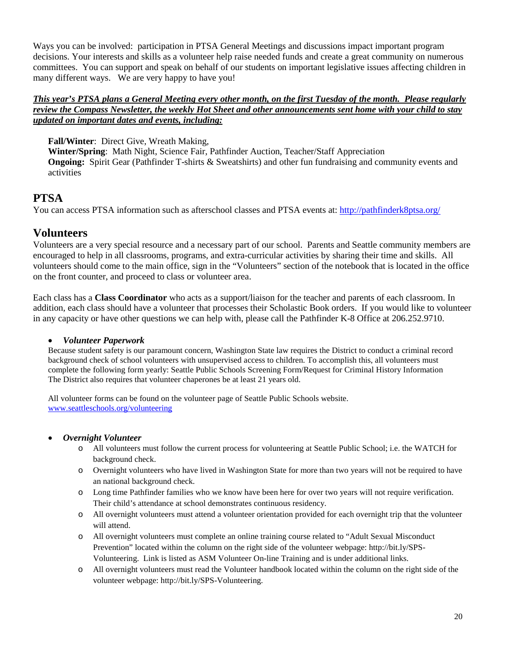Ways you can be involved: participation in PTSA General Meetings and discussions impact important program decisions. Your interests and skills as a volunteer help raise needed funds and create a great community on numerous committees. You can support and speak on behalf of our students on important legislative issues affecting children in many different ways. We are very happy to have you!

#### *This year's PTSA plans a General Meeting every other month, on the first Tuesday of the month. Please regularly review the Compass Newsletter, the weekly Hot Sheet and other announcements sent home with your child to stay updated on important dates and events, including:*

**Fall/Winter**: Direct Give, Wreath Making,

**Winter/Spring**: Math Night, Science Fair, Pathfinder Auction, Teacher/Staff Appreciation **Ongoing:** Spirit Gear (Pathfinder T-shirts & Sweatshirts) and other fun fundraising and community events and activities

### **PTSA**

You can access PTSA information such as afterschool classes and PTSA events at:<http://pathfinderk8ptsa.org/>

### **Volunteers**

Volunteers are a very special resource and a necessary part of our school. Parents and Seattle community members are encouraged to help in all classrooms, programs, and extra-curricular activities by sharing their time and skills. All volunteers should come to the main office, sign in the "Volunteers" section of the notebook that is located in the office on the front counter, and proceed to class or volunteer area.

Each class has a **Class Coordinator** who acts as a support/liaison for the teacher and parents of each classroom. In addition, each class should have a volunteer that processes their Scholastic Book orders. If you would like to volunteer in any capacity or have other questions we can help with, please call the Pathfinder K-8 Office at 206.252.9710.

#### • *Volunteer Paperwork*

Because student safety is our paramount concern, Washington State law requires the District to conduct a criminal record background check of school volunteers with unsupervised access to children. To accomplish this, all volunteers must complete the following form yearly: Seattle Public Schools Screening Form/Request for Criminal History Information The District also requires that volunteer chaperones be at least 21 years old.

All volunteer forms can be found on the volunteer page of Seattle Public Schools website. [www.seattleschools.org/volunteering](http://www.seattleschools.org/volunteering)

#### • *Overnight Volunteer*

- o All volunteers must follow the current process for volunteering at Seattle Public School; i.e. the WATCH for background check.
- o Overnight volunteers who have lived in Washington State for more than two years will not be required to have an national background check.
- o Long time Pathfinder families who we know have been here for over two years will not require verification. Their child's attendance at school demonstrates continuous residency.
- o All overnight volunteers must attend a volunteer orientation provided for each overnight trip that the volunteer will attend.
- o All overnight volunteers must complete an online training course related to "Adult Sexual Misconduct Prevention" located within the column on the right side of the volunteer webpage: http://bit.ly/SPS-Volunteering. Link is listed as ASM Volunteer On-line Training and is under additional links.
- o All overnight volunteers must read the Volunteer handbook located within the column on the right side of the volunteer webpage: http://bit.ly/SPS-Volunteering.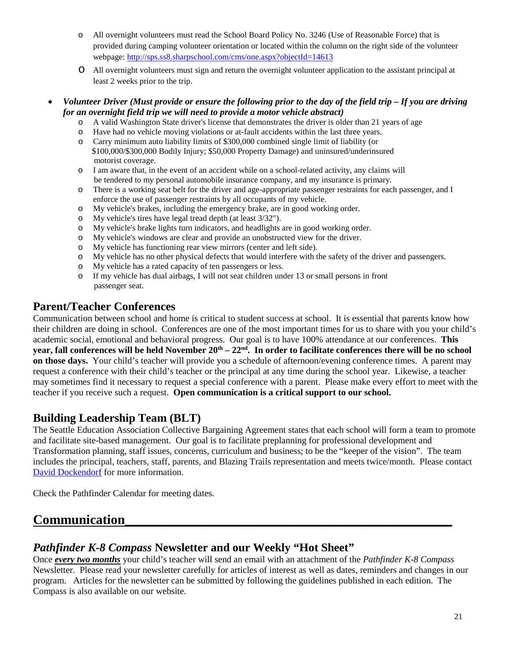- o All overnight volunteers must read the School Board Policy No. 3246 (Use of Reasonable Force) that is provided during camping volunteer orientation or located within the column on the right side of the volunteer webpage:<http://sps.ss8.sharpschool.com/cms/one.aspx?objectId=14613>
- o All overnight volunteers must sign and return the overnight volunteer application to the assistant principal at least 2 weeks prior to the trip.

#### • *Volunteer Driver (Must provide or ensure the following prior to the day of the field trip – If you are driving for an overnight field trip we will need to provide a motor vehicle abstract)*

- o A valid Washington State driver's license that demonstrates the driver is older than 21 years of age
- o Have had no vehicle moving violations or at-fault accidents within the last three years.
- Carry minimum auto liability limits of \$300,000 combined single limit of liability (or \$100,000/\$300,000 Bodily Injury; \$50,000 Property Damage) and uninsured/underinsured motorist coverage.
- o I am aware that, in the event of an accident while on a school-related activity, any claims will be tendered to my personal automobile insurance company, and my insurance is primary.
- o There is a working seat belt for the driver and age-appropriate passenger restraints for each passenger, and I enforce the use of passenger restraints by all occupants of my vehicle.
- o My vehicle's brakes, including the emergency brake, are in good working order.<br>O My vehicle's tires have legal tread depth (at least  $3/32$ ").
- My vehicle's tires have legal tread depth (at least  $3/32$ ").
- o My vehicle's brake lights turn indicators, and headlights are in good working order.
- o My vehicle's windows are clear and provide an unobstructed view for the driver.<br>  $\sim$  My vehicle has functioning rear view mirrors (center and left side).
- My vehicle has functioning rear view mirrors (center and left side).
- o My vehicle has no other physical defects that would interfere with the safety of the driver and passengers.
- o My vehicle has a rated capacity of ten passengers or less.<br>
o If my vehicle has dual airbags. I will not seat children und
- If my vehicle has dual airbags, I will not seat children under 13 or small persons in front passenger seat.

### **Parent/Teacher Conferences**

Communication between school and home is critical to student success at school. It is essential that parents know how their children are doing in school. Conferences are one of the most important times for us to share with you your child's academic social, emotional and behavioral progress. Our goal is to have 100% attendance at our conferences. **This year, fall conferences will be held November 20th – 22nd. In order to facilitate conferences there will be no school on those days.** Your child's teacher will provide you a schedule of afternoon/evening conference times. A parent may request a conference with their child's teacher or the principal at any time during the school year. Likewise, a teacher may sometimes find it necessary to request a special conference with a parent. Please make every effort to meet with the teacher if you receive such a request. **Open communication is a critical support to our school.**

### **Building Leadership Team (BLT)**

The Seattle Education Association Collective Bargaining Agreement states that each school will form a team to promote and facilitate site-based management. Our goal is to facilitate preplanning for professional development and Transformation planning, staff issues, concerns, curriculum and business; to be the "keeper of the vision". The team includes the principal, teachers, staff, parents, and Blazing Trails representation and meets twice/month. Please contact [David Dockendorf](mailto:ddockendorf@seattleschools.org) for more information.

Check the Pathfinder Calendar for meeting dates.

### **Communication\_\_\_\_\_\_\_\_\_\_\_\_\_\_\_\_\_\_\_\_\_\_\_\_\_\_\_\_\_\_\_\_\_\_\_\_\_\_\_\_\_\_\_\_\_\_\_\_\_**

### *Pathfinder K-8 Compass* **Newsletter and our Weekly "Hot Sheet"**

Once *every two months* your child's teacher will send an email with an attachment of the *Pathfinder K-8 Compass*  Newsletter. Please read your newsletter carefully for articles of interest as well as dates, reminders and changes in our program. Articles for the newsletter can be submitted by following the guidelines published in each edition. The Compass is also available on our website.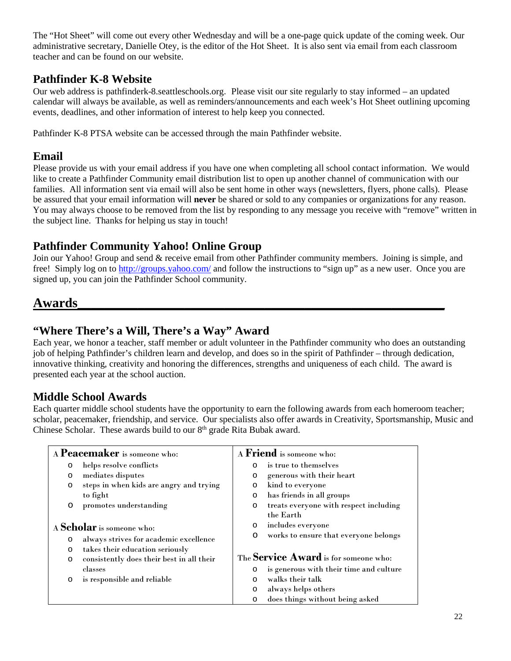The "Hot Sheet" will come out every other Wednesday and will be a one-page quick update of the coming week. Our administrative secretary, Danielle Otey, is the editor of the Hot Sheet. It is also sent via email from each classroom teacher and can be found on our website.

### **Pathfinder K-8 Website**

Our web address is pathfinderk-8.seattleschools.org. Please visit our site regularly to stay informed – an updated calendar will always be available, as well as reminders/announcements and each week's Hot Sheet outlining upcoming events, deadlines, and other information of interest to help keep you connected.

Pathfinder K-8 PTSA website can be accessed through the main Pathfinder website.

### **Email**

Please provide us with your email address if you have one when completing all school contact information. We would like to create a Pathfinder Community email distribution list to open up another channel of communication with our families. All information sent via email will also be sent home in other ways (newsletters, flyers, phone calls). Please be assured that your email information will **never** be shared or sold to any companies or organizations for any reason. You may always choose to be removed from the list by responding to any message you receive with "remove" written in the subject line. Thanks for helping us stay in touch!

### **Pathfinder Community Yahoo! Online Group**

Join our Yahoo! Group and send & receive email from other Pathfinder community members. Joining is simple, and free! Simply log on to<http://groups.yahoo.com/> and follow the instructions to "sign up" as a new user. Once you are signed up, you can join the Pathfinder School community.

## **Awards\_\_\_\_\_\_\_\_\_\_\_\_\_\_\_\_\_\_\_\_\_\_\_\_\_\_\_\_\_\_\_\_\_\_\_\_\_\_\_\_\_\_\_\_\_\_\_\_\_\_\_\_\_\_\_**

### **"Where There's a Will, There's a Way" Award**

Each year, we honor a teacher, staff member or adult volunteer in the Pathfinder community who does an outstanding job of helping Pathfinder's children learn and develop, and does so in the spirit of Pathfinder – through dedication, innovative thinking, creativity and honoring the differences, strengths and uniqueness of each child. The award is presented each year at the school auction.

### **Middle School Awards**

Each quarter middle school students have the opportunity to earn the following awards from each homeroom teacher; scholar, peacemaker, friendship, and service. Our specialists also offer awards in Creativity, Sportsmanship, Music and Chinese Scholar. These awards build to our  $8<sup>th</sup>$  grade Rita Bubak award.

| A <b>Peacemaker</b> is someone who: |                                           | A Friend is someone who: |                                              |
|-------------------------------------|-------------------------------------------|--------------------------|----------------------------------------------|
| $\circ$                             | helps resolve conflicts                   | $\circ$                  | is true to themselves                        |
| $\circ$                             | mediates disputes                         | $\circ$                  | generous with their heart                    |
| $\circ$                             | steps in when kids are angry and trying   | O                        | kind to everyone                             |
|                                     | to fight                                  | $\circ$                  | has friends in all groups                    |
| O                                   | promotes understanding                    | $\circ$                  | treats everyone with respect including       |
|                                     |                                           |                          | the Earth                                    |
|                                     | A Scholar is someone who:                 | O                        | includes everyone                            |
| $\circ$                             | always strives for academic excellence    | O                        | works to ensure that everyone belongs        |
| $\circ$                             | takes their education seriously           |                          |                                              |
| $\circ$                             | consistently does their best in all their |                          | The <b>Service Award</b> is for someone who: |
|                                     | classes                                   | O                        | is generous with their time and culture      |
| O                                   | is responsible and reliable               | $\Omega$                 | walks their talk                             |
|                                     |                                           | $\circ$                  | always helps others                          |
|                                     |                                           | $\circ$                  | does things without being asked              |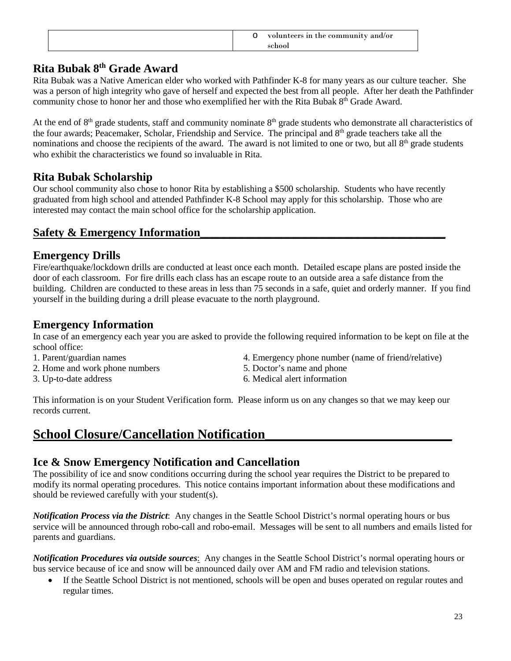|  | O volunteers in the community and/or |
|--|--------------------------------------|
|--|--------------------------------------|

### **Rita Bubak 8th Grade Award**

Rita Bubak was a Native American elder who worked with Pathfinder K-8 for many years as our culture teacher. She was a person of high integrity who gave of herself and expected the best from all people. After her death the Pathfinder community chose to honor her and those who exemplified her with the Rita Bubak 8<sup>th</sup> Grade Award.

At the end of  $8<sup>th</sup>$  grade students, staff and community nominate  $8<sup>th</sup>$  grade students who demonstrate all characteristics of the four awards; Peacemaker, Scholar, Friendship and Service. The principal and 8<sup>th</sup> grade teachers take all the nominations and choose the recipients of the award. The award is not limited to one or two, but all 8<sup>th</sup> grade students who exhibit the characteristics we found so invaluable in Rita.

### **Rita Bubak Scholarship**

Our school community also chose to honor Rita by establishing a \$500 scholarship. Students who have recently graduated from high school and attended Pathfinder K-8 School may apply for this scholarship. Those who are interested may contact the main school office for the scholarship application.

### **Safety & Emergency Information**

### **Emergency Drills**

Fire/earthquake/lockdown drills are conducted at least once each month. Detailed escape plans are posted inside the door of each classroom. For fire drills each class has an escape route to an outside area a safe distance from the building. Children are conducted to these areas in less than 75 seconds in a safe, quiet and orderly manner. If you find yourself in the building during a drill please evacuate to the north playground.

### **Emergency Information**

In case of an emergency each year you are asked to provide the following required information to be kept on file at the school office:

- 
- 2. Home and work phone numbers 5. Doctor's name and phone
- 
- 1. Parent/guardian names 4. Emergency phone number (name of friend/relative)
	-
- 3. Up-to-date address 6. Medical alert information

This information is on your Student Verification form. Please inform us on any changes so that we may keep our records current.

### **School Closure/Cancellation Notification**

### **Ice & Snow Emergency Notification and Cancellation**

The possibility of ice and snow conditions occurring during the school year requires the District to be prepared to modify its normal operating procedures. This notice contains important information about these modifications and should be reviewed carefully with your student(s).

*Notification Process via the District*: Any changes in the Seattle School District's normal operating hours or bus service will be announced through robo-call and robo-email. Messages will be sent to all numbers and emails listed for parents and guardians.

*Notification Procedures via outside sources*: Any changes in the Seattle School District's normal operating hours or bus service because of ice and snow will be announced daily over AM and FM radio and television stations.

• If the Seattle School District is not mentioned, schools will be open and buses operated on regular routes and regular times.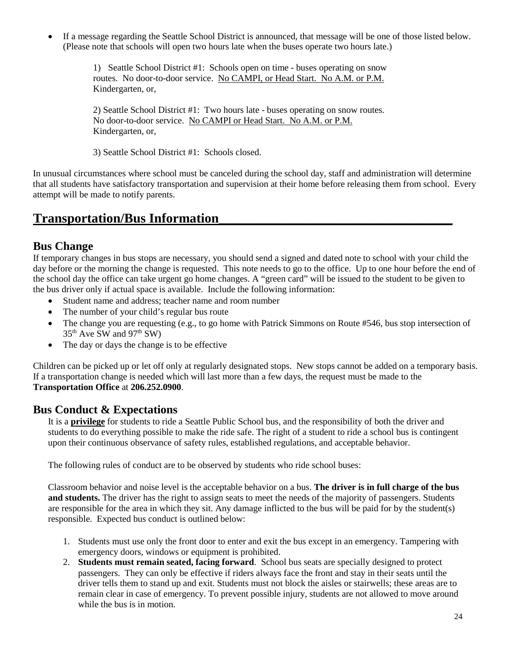• If a message regarding the Seattle School District is announced, that message will be one of those listed below. (Please note that schools will open two hours late when the buses operate two hours late.)

> 1) Seattle School District #1: Schools open on time - buses operating on snow routes. No door-to-door service. No CAMPI, or Head Start. No A.M. or P.M. Kindergarten, or,

> 2) Seattle School District #1: Two hours late - buses operating on snow routes. No door-to-door service. No CAMPI or Head Start. No A.M. or P.M. Kindergarten, or,

3) Seattle School District #1: Schools closed.

In unusual circumstances where school must be canceled during the school day, staff and administration will determine that all students have satisfactory transportation and supervision at their home before releasing them from school. Every attempt will be made to notify parents.

### **Transportation/Bus Information\_\_\_\_\_\_\_\_\_\_\_\_\_\_\_\_\_\_\_\_\_\_\_\_\_\_\_\_\_\_\_\_\_\_\_**

#### **Bus Change**

If temporary changes in bus stops are necessary, you should send a signed and dated note to school with your child the day before or the morning the change is requested. This note needs to go to the office. Up to one hour before the end of the school day the office can take urgent go home changes. A "green card" will be issued to the student to be given to the bus driver only if actual space is available. Include the following information:

- Student name and address: teacher name and room number
- The number of your child's regular bus route
- The change you are requesting (e.g., to go home with Patrick Simmons on Route #546, bus stop intersection of  $35<sup>th</sup>$  Ave SW and  $97<sup>th</sup>$  SW)
- The day or days the change is to be effective

Children can be picked up or let off only at regularly designated stops. New stops cannot be added on a temporary basis. If a transportation change is needed which will last more than a few days, the request must be made to the **Transportation Office** at **206.252.0900**.

#### **Bus Conduct & Expectations**

It is a **privilege** for students to ride a Seattle Public School bus, and the responsibility of both the driver and students to do everything possible to make the ride safe. The right of a student to ride a school bus is contingent upon their continuous observance of safety rules, established regulations, and acceptable behavior.

The following rules of conduct are to be observed by students who ride school buses:

Classroom behavior and noise level is the acceptable behavior on a bus. **The driver is in full charge of the bus and students.** The driver has the right to assign seats to meet the needs of the majority of passengers. Students are responsible for the area in which they sit. Any damage inflicted to the bus will be paid for by the student(s) responsible. Expected bus conduct is outlined below:

- 1. Students must use only the front door to enter and exit the bus except in an emergency. Tampering with emergency doors, windows or equipment is prohibited.
- 2. **Students must remain seated, facing forward**. School bus seats are specially designed to protect passengers. They can only be effective if riders always face the front and stay in their seats until the driver tells them to stand up and exit. Students must not block the aisles or stairwells; these areas are to remain clear in case of emergency. To prevent possible injury, students are not allowed to move around while the bus is in motion.